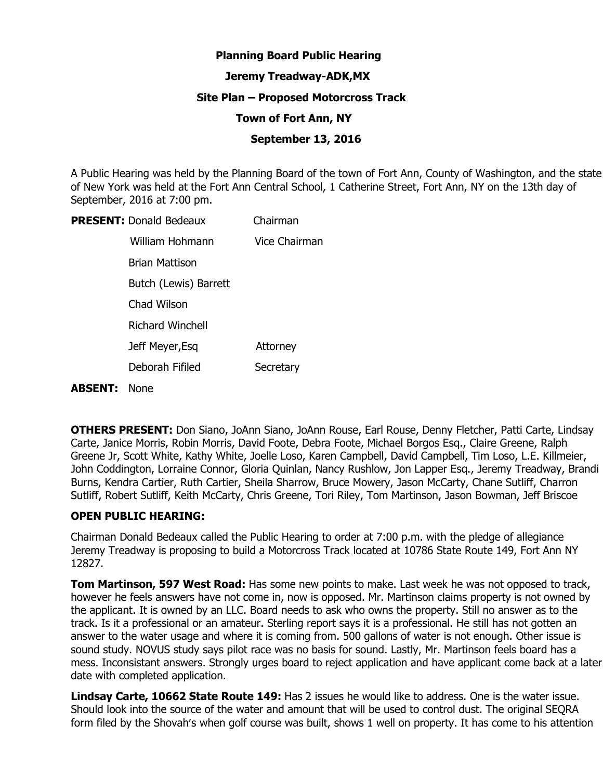# **Planning Board Public Hearing**

### **Jeremy Treadway-ADK,MX**

### **Site Plan – Proposed Motorcross Track**

### **Town of Fort Ann, NY**

### **September 13, 2016**

A Public Hearing was held by the Planning Board of the town of Fort Ann, County of Washington, and the state of New York was held at the Fort Ann Central School, 1 Catherine Street, Fort Ann, NY on the 13th day of September, 2016 at 7:00 pm.

| <b>PRESENT: Donald Bedeaux</b> | Chairman        |
|--------------------------------|-----------------|
| William Hohmann                | Vice Chairman   |
| Brian Mattison                 |                 |
| Butch (Lewis) Barrett          |                 |
| Chad Wilson                    |                 |
| <b>Richard Winchell</b>        |                 |
| Jeff Meyer, Esq                | <b>Attorney</b> |
| Deborah Fifiled                | Secretary       |
|                                |                 |

#### **ABSENT:** None

**OTHERS PRESENT:** Don Siano, JoAnn Siano, JoAnn Rouse, Earl Rouse, Denny Fletcher, Patti Carte, Lindsay Carte, Janice Morris, Robin Morris, David Foote, Debra Foote, Michael Borgos Esq., Claire Greene, Ralph Greene Jr, Scott White, Kathy White, Joelle Loso, Karen Campbell, David Campbell, Tim Loso, L.E. Killmeier, John Coddington, Lorraine Connor, Gloria Quinlan, Nancy Rushlow, Jon Lapper Esq., Jeremy Treadway, Brandi Burns, Kendra Cartier, Ruth Cartier, Sheila Sharrow, Bruce Mowery, Jason McCarty, Chane Sutliff, Charron Sutliff, Robert Sutliff, Keith McCarty, Chris Greene, Tori Riley, Tom Martinson, Jason Bowman, Jeff Briscoe

# **OPEN PUBLIC HEARING:**

Chairman Donald Bedeaux called the Public Hearing to order at 7:00 p.m. with the pledge of allegiance Jeremy Treadway is proposing to build a Motorcross Track located at 10786 State Route 149, Fort Ann NY 12827.

**Tom Martinson, 597 West Road:** Has some new points to make. Last week he was not opposed to track, however he feels answers have not come in, now is opposed. Mr. Martinson claims property is not owned by the applicant. It is owned by an LLC. Board needs to ask who owns the property. Still no answer as to the track. Is it a professional or an amateur. Sterling report says it is a professional. He still has not gotten an answer to the water usage and where it is coming from. 500 gallons of water is not enough. Other issue is sound study. NOVUS study says pilot race was no basis for sound. Lastly, Mr. Martinson feels board has a mess. Inconsistant answers. Strongly urges board to reject application and have applicant come back at a later date with completed application.

**Lindsay Carte, 10662 State Route 149:** Has 2 issues he would like to address. One is the water issue. Should look into the source of the water and amount that will be used to control dust. The original SEQRA form filed by the Shovah's when golf course was built, shows 1 well on property. It has come to his attention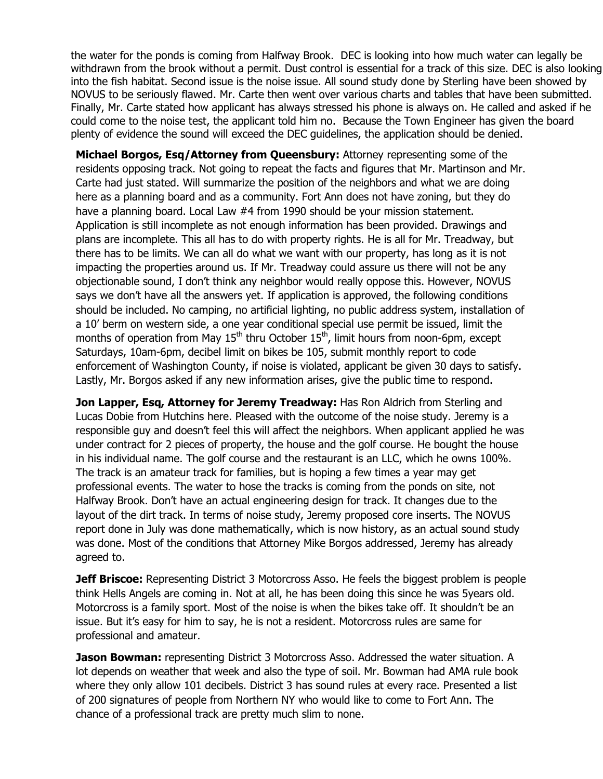the water for the ponds is coming from Halfway Brook. DEC is looking into how much water can legally be withdrawn from the brook without a permit. Dust control is essential for a track of this size. DEC is also looking into the fish habitat. Second issue is the noise issue. All sound study done by Sterling have been showed by NOVUS to be seriously flawed. Mr. Carte then went over various charts and tables that have been submitted. Finally, Mr. Carte stated how applicant has always stressed his phone is always on. He called and asked if he could come to the noise test, the applicant told him no. Because the Town Engineer has given the board plenty of evidence the sound will exceed the DEC guidelines, the application should be denied.

**Michael Borgos, Esq/Attorney from Queensbury:** Attorney representing some of the residents opposing track. Not going to repeat the facts and figures that Mr. Martinson and Mr. Carte had just stated. Will summarize the position of the neighbors and what we are doing here as a planning board and as a community. Fort Ann does not have zoning, but they do have a planning board. Local Law #4 from 1990 should be your mission statement. Application is still incomplete as not enough information has been provided. Drawings and plans are incomplete. This all has to do with property rights. He is all for Mr. Treadway, but there has to be limits. We can all do what we want with our property, has long as it is not impacting the properties around us. If Mr. Treadway could assure us there will not be any objectionable sound, I don't think any neighbor would really oppose this. However, NOVUS says we don't have all the answers yet. If application is approved, the following conditions should be included. No camping, no artificial lighting, no public address system, installation of a 10' berm on western side, a one year conditional special use permit be issued, limit the months of operation from May  $15<sup>th</sup>$  thru October  $15<sup>th</sup>$ , limit hours from noon-6pm, except Saturdays, 10am-6pm, decibel limit on bikes be 105, submit monthly report to code enforcement of Washington County, if noise is violated, applicant be given 30 days to satisfy. Lastly, Mr. Borgos asked if any new information arises, give the public time to respond.

**Jon Lapper, Esq, Attorney for Jeremy Treadway:** Has Ron Aldrich from Sterling and Lucas Dobie from Hutchins here. Pleased with the outcome of the noise study. Jeremy is a responsible guy and doesn't feel this will affect the neighbors. When applicant applied he was under contract for 2 pieces of property, the house and the golf course. He bought the house in his individual name. The golf course and the restaurant is an LLC, which he owns 100%. The track is an amateur track for families, but is hoping a few times a year may get professional events. The water to hose the tracks is coming from the ponds on site, not Halfway Brook. Don't have an actual engineering design for track. It changes due to the layout of the dirt track. In terms of noise study, Jeremy proposed core inserts. The NOVUS report done in July was done mathematically, which is now history, as an actual sound study was done. Most of the conditions that Attorney Mike Borgos addressed, Jeremy has already agreed to.

**Jeff Briscoe:** Representing District 3 Motorcross Asso. He feels the biggest problem is people think Hells Angels are coming in. Not at all, he has been doing this since he was 5years old. Motorcross is a family sport. Most of the noise is when the bikes take off. It shouldn't be an issue. But it's easy for him to say, he is not a resident. Motorcross rules are same for professional and amateur.

**Jason Bowman:** representing District 3 Motorcross Asso. Addressed the water situation. A lot depends on weather that week and also the type of soil. Mr. Bowman had AMA rule book where they only allow 101 decibels. District 3 has sound rules at every race. Presented a list of 200 signatures of people from Northern NY who would like to come to Fort Ann. The chance of a professional track are pretty much slim to none.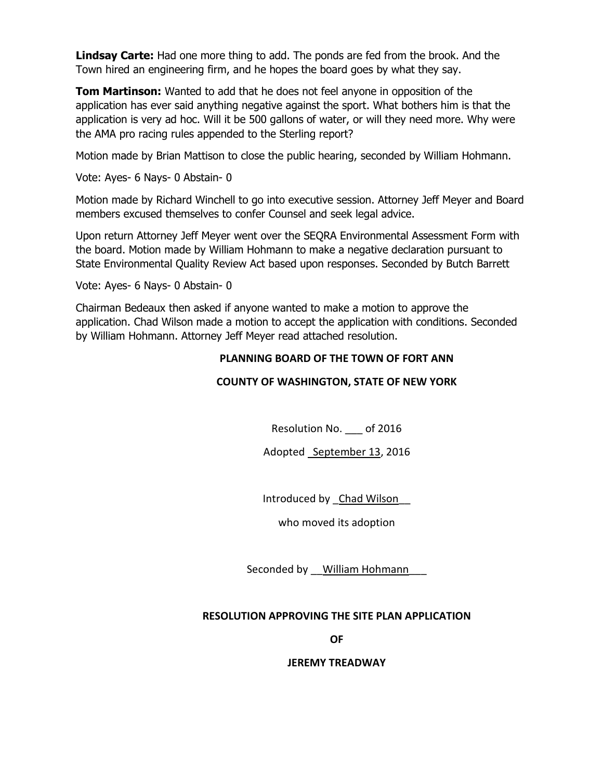**Lindsay Carte:** Had one more thing to add. The ponds are fed from the brook. And the Town hired an engineering firm, and he hopes the board goes by what they say.

**Tom Martinson:** Wanted to add that he does not feel anyone in opposition of the application has ever said anything negative against the sport. What bothers him is that the application is very ad hoc. Will it be 500 gallons of water, or will they need more. Why were the AMA pro racing rules appended to the Sterling report?

Motion made by Brian Mattison to close the public hearing, seconded by William Hohmann.

Vote: Ayes- 6 Nays- 0 Abstain- 0

Motion made by Richard Winchell to go into executive session. Attorney Jeff Meyer and Board members excused themselves to confer Counsel and seek legal advice.

Upon return Attorney Jeff Meyer went over the SEQRA Environmental Assessment Form with the board. Motion made by William Hohmann to make a negative declaration pursuant to State Environmental Quality Review Act based upon responses. Seconded by Butch Barrett

Vote: Ayes- 6 Nays- 0 Abstain- 0

Chairman Bedeaux then asked if anyone wanted to make a motion to approve the application. Chad Wilson made a motion to accept the application with conditions. Seconded by William Hohmann. Attorney Jeff Meyer read attached resolution.

# **PLANNING BOARD OF THE TOWN OF FORT ANN**

# **COUNTY OF WASHINGTON, STATE OF NEW YORK**

Resolution No. of 2016

Adopted September 13, 2016

Introduced by Chad Wilson

who moved its adoption

Seconded by \_\_ William Hohmann

# **RESOLUTION APPROVING THE SITE PLAN APPLICATION**

**OF** 

#### **JEREMY TREADWAY**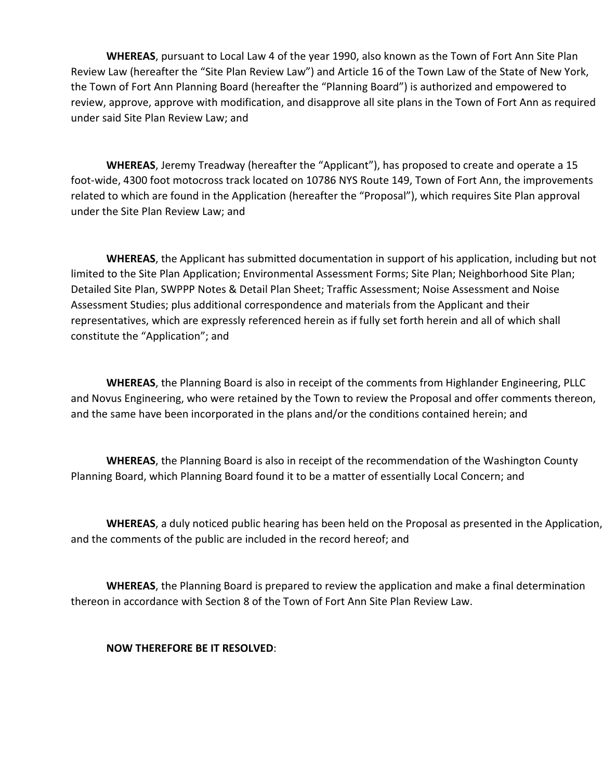**WHEREAS**, pursuant to Local Law 4 of the year 1990, also known as the Town of Fort Ann Site Plan Review Law (hereafter the "Site Plan Review Law") and Article 16 of the Town Law of the State of New York, the Town of Fort Ann Planning Board (hereafter the "Planning Board") is authorized and empowered to review, approve, approve with modification, and disapprove all site plans in the Town of Fort Ann as required under said Site Plan Review Law; and

**WHEREAS**, Jeremy Treadway (hereafter the "Applicant"), has proposed to create and operate a 15 foot-wide, 4300 foot motocross track located on 10786 NYS Route 149, Town of Fort Ann, the improvements related to which are found in the Application (hereafter the "Proposal"), which requires Site Plan approval under the Site Plan Review Law; and

**WHEREAS**, the Applicant has submitted documentation in support of his application, including but not limited to the Site Plan Application; Environmental Assessment Forms; Site Plan; Neighborhood Site Plan; Detailed Site Plan, SWPPP Notes & Detail Plan Sheet; Traffic Assessment; Noise Assessment and Noise Assessment Studies; plus additional correspondence and materials from the Applicant and their representatives, which are expressly referenced herein as if fully set forth herein and all of which shall constitute the "Application"; and

**WHEREAS**, the Planning Board is also in receipt of the comments from Highlander Engineering, PLLC and Novus Engineering, who were retained by the Town to review the Proposal and offer comments thereon, and the same have been incorporated in the plans and/or the conditions contained herein; and

**WHEREAS**, the Planning Board is also in receipt of the recommendation of the Washington County Planning Board, which Planning Board found it to be a matter of essentially Local Concern; and

**WHEREAS**, a duly noticed public hearing has been held on the Proposal as presented in the Application, and the comments of the public are included in the record hereof; and

 **WHEREAS**, the Planning Board is prepared to review the application and make a final determination thereon in accordance with Section 8 of the Town of Fort Ann Site Plan Review Law.

# **NOW THEREFORE BE IT RESOLVED**: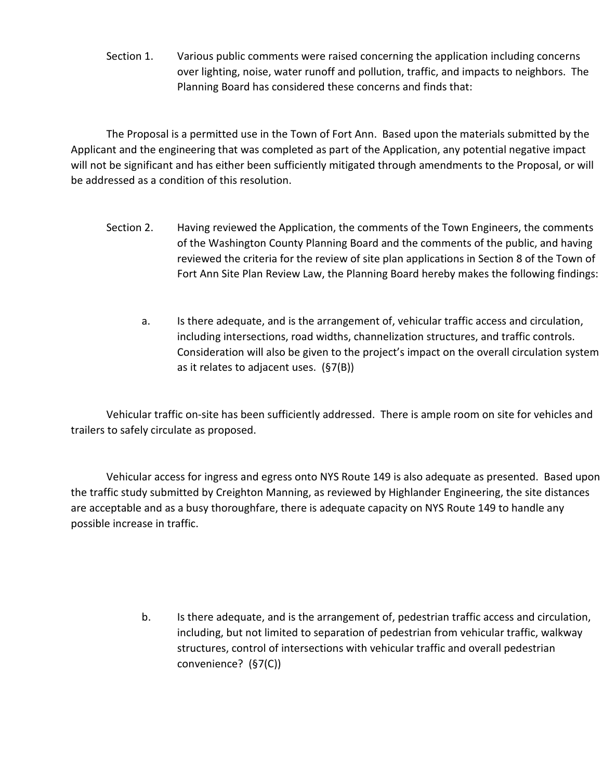Section 1. Various public comments were raised concerning the application including concerns over lighting, noise, water runoff and pollution, traffic, and impacts to neighbors. The Planning Board has considered these concerns and finds that:

 The Proposal is a permitted use in the Town of Fort Ann. Based upon the materials submitted by the Applicant and the engineering that was completed as part of the Application, any potential negative impact will not be significant and has either been sufficiently mitigated through amendments to the Proposal, or will be addressed as a condition of this resolution.

- Section 2. Having reviewed the Application, the comments of the Town Engineers, the comments of the Washington County Planning Board and the comments of the public, and having reviewed the criteria for the review of site plan applications in Section 8 of the Town of Fort Ann Site Plan Review Law, the Planning Board hereby makes the following findings:
	- a. Is there adequate, and is the arrangement of, vehicular traffic access and circulation, including intersections, road widths, channelization structures, and traffic controls. Consideration will also be given to the project's impact on the overall circulation system as it relates to adjacent uses. (§7(B))

 Vehicular traffic on-site has been sufficiently addressed. There is ample room on site for vehicles and trailers to safely circulate as proposed.

 Vehicular access for ingress and egress onto NYS Route 149 is also adequate as presented. Based upon the traffic study submitted by Creighton Manning, as reviewed by Highlander Engineering, the site distances are acceptable and as a busy thoroughfare, there is adequate capacity on NYS Route 149 to handle any possible increase in traffic.

> b. Is there adequate, and is the arrangement of, pedestrian traffic access and circulation, including, but not limited to separation of pedestrian from vehicular traffic, walkway structures, control of intersections with vehicular traffic and overall pedestrian convenience? (§7(C))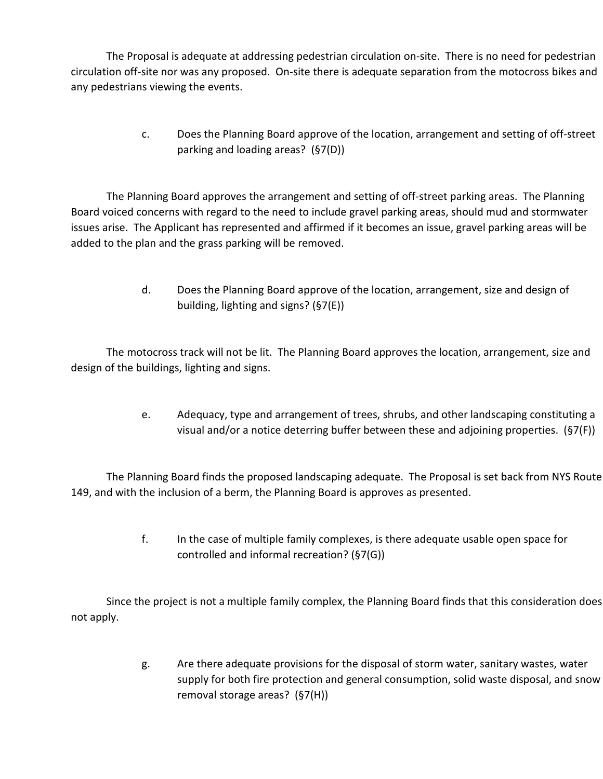The Proposal is adequate at addressing pedestrian circulation on-site. There is no need for pedestrian circulation off-site nor was any proposed. On-site there is adequate separation from the motocross bikes and any pedestrians viewing the events.

> c. Does the Planning Board approve of the location, arrangement and setting of off-street parking and loading areas? (§7(D))

 The Planning Board approves the arrangement and setting of off-street parking areas. The Planning Board voiced concerns with regard to the need to include gravel parking areas, should mud and stormwater issues arise. The Applicant has represented and affirmed if it becomes an issue, gravel parking areas will be added to the plan and the grass parking will be removed.

> d. Does the Planning Board approve of the location, arrangement, size and design of building, lighting and signs? (§7(E))

 The motocross track will not be lit. The Planning Board approves the location, arrangement, size and design of the buildings, lighting and signs.

> e. Adequacy, type and arrangement of trees, shrubs, and other landscaping constituting a visual and/or a notice deterring buffer between these and adjoining properties. (§7(F))

The Planning Board finds the proposed landscaping adequate. The Proposal is set back from NYS Route 149, and with the inclusion of a berm, the Planning Board is approves as presented.

> f. In the case of multiple family complexes, is there adequate usable open space for controlled and informal recreation? (§7(G))

Since the project is not a multiple family complex, the Planning Board finds that this consideration does not apply.

> g. Are there adequate provisions for the disposal of storm water, sanitary wastes, water supply for both fire protection and general consumption, solid waste disposal, and snow removal storage areas? (§7(H))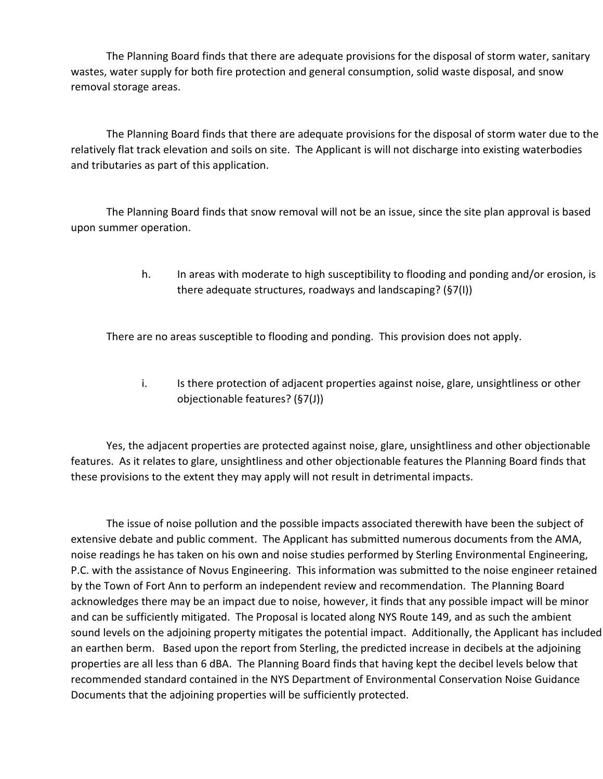The Planning Board finds that there are adequate provisions for the disposal of storm water, sanitary wastes, water supply for both fire protection and general consumption, solid waste disposal, and snow removal storage areas.

 The Planning Board finds that there are adequate provisions for the disposal of storm water due to the relatively flat track elevation and soils on site. The Applicant is will not discharge into existing waterbodies and tributaries as part of this application.

 The Planning Board finds that snow removal will not be an issue, since the site plan approval is based upon summer operation.

> h. In areas with moderate to high susceptibility to flooding and ponding and/or erosion, is there adequate structures, roadways and landscaping? (§7(I))

There are no areas susceptible to flooding and ponding. This provision does not apply.

i. Is there protection of adjacent properties against noise, glare, unsightliness or other objectionable features? (§7(J))

 Yes, the adjacent properties are protected against noise, glare, unsightliness and other objectionable features. As it relates to glare, unsightliness and other objectionable features the Planning Board finds that these provisions to the extent they may apply will not result in detrimental impacts.

 The issue of noise pollution and the possible impacts associated therewith have been the subject of extensive debate and public comment. The Applicant has submitted numerous documents from the AMA, noise readings he has taken on his own and noise studies performed by Sterling Environmental Engineering, P.C. with the assistance of Novus Engineering. This information was submitted to the noise engineer retained by the Town of Fort Ann to perform an independent review and recommendation. The Planning Board acknowledges there may be an impact due to noise, however, it finds that any possible impact will be minor and can be sufficiently mitigated. The Proposal is located along NYS Route 149, and as such the ambient sound levels on the adjoining property mitigates the potential impact. Additionally, the Applicant has included an earthen berm. Based upon the report from Sterling, the predicted increase in decibels at the adjoining properties are all less than 6 dBA. The Planning Board finds that having kept the decibel levels below that recommended standard contained in the NYS Department of Environmental Conservation Noise Guidance Documents that the adjoining properties will be sufficiently protected.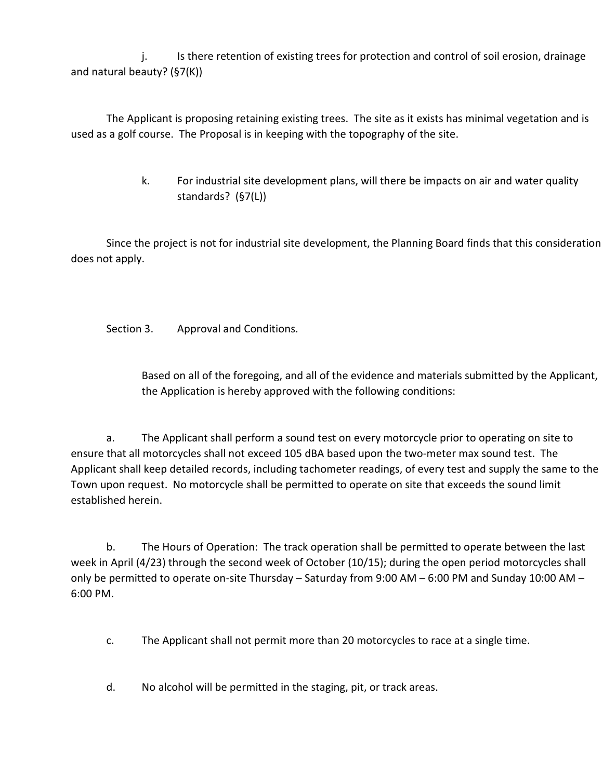j. Is there retention of existing trees for protection and control of soil erosion, drainage and natural beauty? (§7(K))

 The Applicant is proposing retaining existing trees. The site as it exists has minimal vegetation and is used as a golf course. The Proposal is in keeping with the topography of the site.

> k. For industrial site development plans, will there be impacts on air and water quality standards? (§7(L))

Since the project is not for industrial site development, the Planning Board finds that this consideration does not apply.

Section 3. Approval and Conditions.

 Based on all of the foregoing, and all of the evidence and materials submitted by the Applicant, the Application is hereby approved with the following conditions:

 a. The Applicant shall perform a sound test on every motorcycle prior to operating on site to ensure that all motorcycles shall not exceed 105 dBA based upon the two-meter max sound test. The Applicant shall keep detailed records, including tachometer readings, of every test and supply the same to the Town upon request. No motorcycle shall be permitted to operate on site that exceeds the sound limit established herein.

 b. The Hours of Operation: The track operation shall be permitted to operate between the last week in April (4/23) through the second week of October (10/15); during the open period motorcycles shall only be permitted to operate on-site Thursday – Saturday from 9:00 AM – 6:00 PM and Sunday 10:00 AM – 6:00 PM.

- c. The Applicant shall not permit more than 20 motorcycles to race at a single time.
- d. No alcohol will be permitted in the staging, pit, or track areas.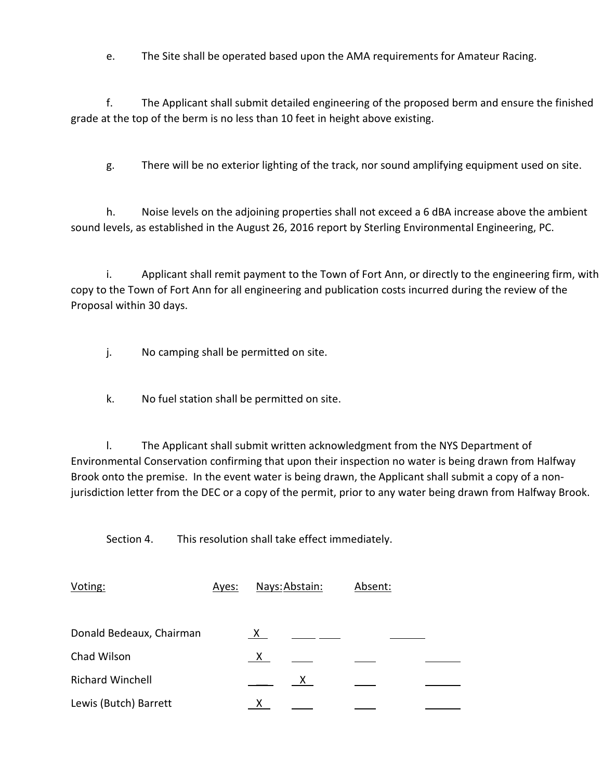e. The Site shall be operated based upon the AMA requirements for Amateur Racing.

 f. The Applicant shall submit detailed engineering of the proposed berm and ensure the finished grade at the top of the berm is no less than 10 feet in height above existing.

g. There will be no exterior lighting of the track, nor sound amplifying equipment used on site.

 h. Noise levels on the adjoining properties shall not exceed a 6 dBA increase above the ambient sound levels, as established in the August 26, 2016 report by Sterling Environmental Engineering, PC.

 i. Applicant shall remit payment to the Town of Fort Ann, or directly to the engineering firm, with copy to the Town of Fort Ann for all engineering and publication costs incurred during the review of the Proposal within 30 days.

j. No camping shall be permitted on site.

k. No fuel station shall be permitted on site.

 l. The Applicant shall submit written acknowledgment from the NYS Department of Environmental Conservation confirming that upon their inspection no water is being drawn from Halfway Brook onto the premise. In the event water is being drawn, the Applicant shall submit a copy of a nonjurisdiction letter from the DEC or a copy of the permit, prior to any water being drawn from Halfway Brook.

Section 4. This resolution shall take effect immediately.

| Voting:                  | Ayes: | Nays: Abstain: |    | Absent: |  |
|--------------------------|-------|----------------|----|---------|--|
|                          |       |                |    |         |  |
| Donald Bedeaux, Chairman |       | X.             |    |         |  |
| Chad Wilson              |       | $\mathsf{X}$   |    |         |  |
| <b>Richard Winchell</b>  |       |                | X. |         |  |
| Lewis (Butch) Barrett    |       |                |    |         |  |